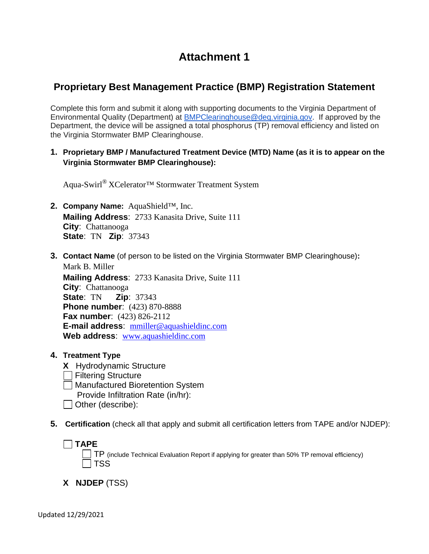# **Attachment 1**

# **Proprietary Best Management Practice (BMP) Registration Statement**

Complete this form and submit it along with supporting documents to the Virginia Department of Environmental Quality (Department) at [BMPClearinghouse@deq.virginia.gov.](mailto:BMPClearinghouse@deq.virginia.gov) If approved by the Department, the device will be assigned a total phosphorus (TP) removal efficiency and listed on the Virginia Stormwater BMP Clearinghouse.

**1. Proprietary BMP / Manufactured Treatment Device (MTD) Name (as it is to appear on the Virginia Stormwater BMP Clearinghouse):**

Aqua-Swirl® XCelerator™ Stormwater Treatment System

- **2. Company Name:** AquaShield™, Inc. **Mailing Address**: 2733 Kanasita Drive, Suite 111 **City**: Chattanooga **State**: TN **Zip**: 37343
- **3. Contact Name** (of person to be listed on the Virginia Stormwater BMP Clearinghouse)**:**  Mark B. Miller

**Mailing Address**: 2733 Kanasita Drive, Suite 111 **City**: Chattanooga **State**: TN **Zip**: 37343 **Phone number**: (423) 870-8888 **Fax number**: (423) 826-2112 **E-mail address**: [mmiller@aquashieldinc.com](mailto:mmiller@aquashieldinc.com) **Web address**: [www.aquashieldinc.com](http://www.aquashieldinc.com/)

**4. Treatment Type**

**TAPE** 

**X** Hydrodynamic Structure Filtering Structure Manufactured Bioretention System Provide Infiltration Rate (in/hr): | Other (describe):

**5. Certification** (check all that apply and submit all certification letters from TAPE and/or NJDEP):

TP (include Technical Evaluation Report if applying for greater than 50% TP removal efficiency)  $\exists$  TSS

**X NJDEP** (TSS)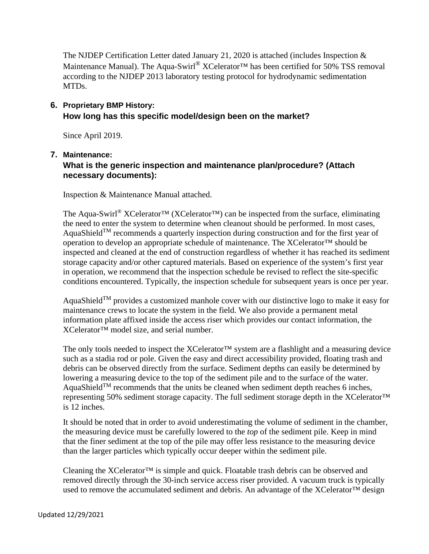The NJDEP Certification Letter dated January 21, 2020 is attached (includes Inspection & Maintenance Manual). The Aqua-Swirl<sup>®</sup> XCelerator<sup>™</sup> has been certified for 50% TSS removal according to the NJDEP 2013 laboratory testing protocol for hydrodynamic sedimentation MTDs.

# **6. Proprietary BMP History: How long has this specific model/design been on the market?**

Since April 2019.

#### **7. Maintenance:**

# **What is the generic inspection and maintenance plan/procedure? (Attach necessary documents):**

Inspection & Maintenance Manual attached.

The Aqua-Swirl<sup>®</sup> XCelerator<sup>™</sup> (XCelerator<sup>™</sup>) can be inspected from the surface, eliminating the need to enter the system to determine when cleanout should be performed. In most cases, AquaShield<sup>TM</sup> recommends a quarterly inspection during construction and for the first year of operation to develop an appropriate schedule of maintenance. The XCelerator™ should be inspected and cleaned at the end of construction regardless of whether it has reached its sediment storage capacity and/or other captured materials. Based on experience of the system's first year in operation, we recommend that the inspection schedule be revised to reflect the site-specific conditions encountered. Typically, the inspection schedule for subsequent years is once per year.

AquaShield<sup>TM</sup> provides a customized manhole cover with our distinctive logo to make it easy for maintenance crews to locate the system in the field. We also provide a permanent metal information plate affixed inside the access riser which provides our contact information, the XCelerator™ model size, and serial number.

The only tools needed to inspect the XCelerator<sup>™</sup> system are a flashlight and a measuring device such as a stadia rod or pole. Given the easy and direct accessibility provided, floating trash and debris can be observed directly from the surface. Sediment depths can easily be determined by lowering a measuring device to the top of the sediment pile and to the surface of the water. AquaShield<sup>TM</sup> recommends that the units be cleaned when sediment depth reaches 6 inches, representing 50% sediment storage capacity. The full sediment storage depth in the XCelerator™ is 12 inches.

It should be noted that in order to avoid underestimating the volume of sediment in the chamber, the measuring device must be carefully lowered to the *top* of the sediment pile. Keep in mind that the finer sediment at the top of the pile may offer less resistance to the measuring device than the larger particles which typically occur deeper within the sediment pile.

Cleaning the  $XCelerator^{TM}$  is simple and quick. Floatable trash debris can be observed and removed directly through the 30-inch service access riser provided. A vacuum truck is typically used to remove the accumulated sediment and debris. An advantage of the XCelerator™ design